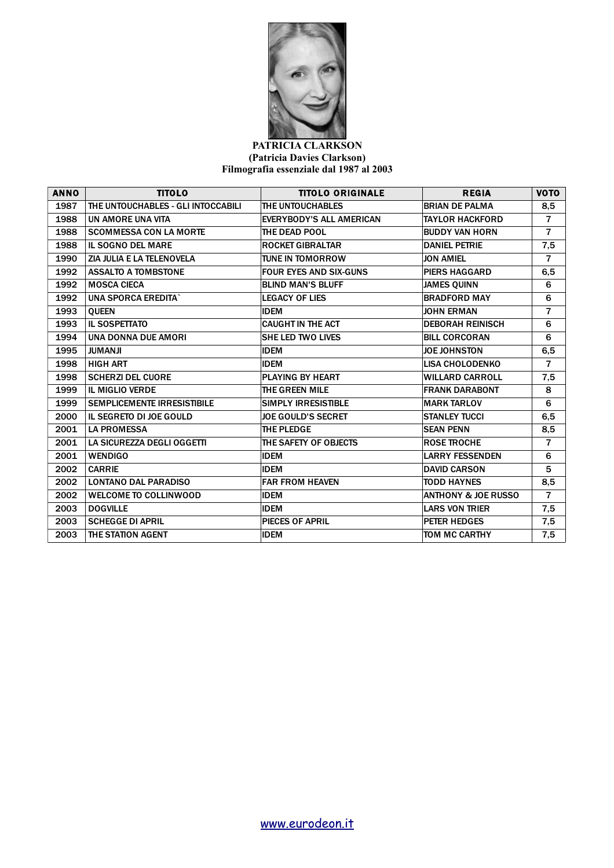

## **PATRICIA CLARKSON (Patricia Davies Clarkson) Filmografia essenziale dal 1987 al 2003**

| <b>ANNO</b> | <b>TITOLO</b>                      | <b>TITOLO ORIGINALE</b>         | <b>REGIA</b>                   | <b>VOTO</b>    |
|-------------|------------------------------------|---------------------------------|--------------------------------|----------------|
| 1987        | THE UNTOUCHABLES - GLI INTOCCABILI | THE UNTOUCHABLES                | <b>BRIAN DE PALMA</b>          | 8,5            |
| 1988        | UN AMORE UNA VITA                  | <b>EVERYBODY'S ALL AMERICAN</b> | <b>TAYLOR HACKFORD</b>         | $\overline{7}$ |
| 1988        | <b>SCOMMESSA CON LA MORTE</b>      | THE DEAD POOL                   | <b>BUDDY VAN HORN</b>          | $\overline{7}$ |
| 1988        | <b>IL SOGNO DEL MARE</b>           | <b>ROCKET GIBRALTAR</b>         | <b>DANIEL PETRIE</b>           | 7,5            |
| 1990        | ZIA JULIA E LA TELENOVELA          | <b>TUNE IN TOMORROW</b>         | <b>JON AMIEL</b>               | $\overline{7}$ |
| 1992        | <b>ASSALTO A TOMBSTONE</b>         | <b>FOUR EYES AND SIX-GUNS</b>   | <b>PIERS HAGGARD</b>           | 6,5            |
| 1992        | <b>MOSCA CIECA</b>                 | <b>BLIND MAN'S BLUFF</b>        | <b>JAMES QUINN</b>             | 6              |
| 1992        | <b>UNA SPORCA EREDITA`</b>         | <b>LEGACY OF LIES</b>           | <b>BRADFORD MAY</b>            | 6              |
| 1993        | <b>OUEEN</b>                       | <b>IDEM</b>                     | <b>JOHN ERMAN</b>              | $\overline{7}$ |
| 1993        | <b>IL SOSPETTATO</b>               | <b>CAUGHT IN THE ACT</b>        | <b>DEBORAH REINISCH</b>        | 6              |
| 1994        | UNA DONNA DUE AMORI                | <b>SHE LED TWO LIVES</b>        | <b>BILL CORCORAN</b>           | 6              |
| 1995        | <b>JUMANJI</b>                     | <b>IDEM</b>                     | <b>JOE JOHNSTON</b>            | 6,5            |
| 1998        | <b>HIGH ART</b>                    | <b>IDEM</b>                     | <b>LISA CHOLODENKO</b>         | $\overline{7}$ |
| 1998        | <b>SCHERZI DEL CUORE</b>           | <b>PLAYING BY HEART</b>         | <b>WILLARD CARROLL</b>         | 7,5            |
| 1999        | <b>IL MIGLIO VERDE</b>             | THE GREEN MILE                  | <b>FRANK DARABONT</b>          | 8              |
| 1999        | <b>SEMPLICEMENTE IRRESISTIBILE</b> | <b>SIMPLY IRRESISTIBLE</b>      | <b>MARK TARLOV</b>             | 6              |
| 2000        | IL SEGRETO DI JOE GOULD            | <b>JOE GOULD'S SECRET</b>       | <b>STANLEY TUCCI</b>           | 6,5            |
| 2001        | <b>LA PROMESSA</b>                 | <b>THE PLEDGE</b>               | <b>SEAN PENN</b>               | 8,5            |
| 2001        | LA SICUREZZA DEGLI OGGETTI         | THE SAFETY OF OBJECTS           | <b>ROSE TROCHE</b>             | $\overline{7}$ |
| 2001        | <b>WENDIGO</b>                     | <b>IDEM</b>                     | <b>LARRY FESSENDEN</b>         | 6              |
| 2002        | <b>CARRIE</b>                      | <b>IDEM</b>                     | <b>DAVID CARSON</b>            | 5              |
| 2002        | <b>LONTANO DAL PARADISO</b>        | <b>FAR FROM HEAVEN</b>          | <b>TODD HAYNES</b>             | 8,5            |
| 2002        | <b>WELCOME TO COLLINWOOD</b>       | <b>IDEM</b>                     | <b>ANTHONY &amp; JOE RUSSO</b> | $\overline{7}$ |
| 2003        | <b>DOGVILLE</b>                    | <b>IDEM</b>                     | <b>LARS VON TRIER</b>          | 7,5            |
| 2003        | <b>SCHEGGE DI APRIL</b>            | <b>PIECES OF APRIL</b>          | PETER HEDGES                   | 7,5            |
| 2003        | THE STATION AGENT                  | <b>IDEM</b>                     | TOM MC CARTHY                  | 7,5            |